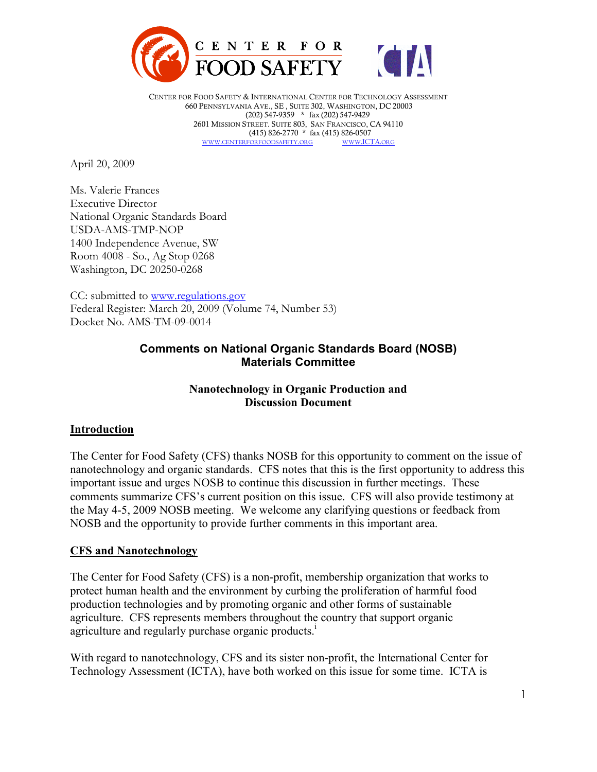

CENTER FOR FOOD SAFETY & INTERNATIONAL CENTER FOR TECHNOLOGY ASSESSMENT 660 PENNSYLVANIA AVE., SE , SUITE 302, WASHINGTON, DC 20003 (202) 547-9359 \* fax (202) 547-9429 2601 MISSION STREET. SUITE 803, SAN FRANCISCO, CA 94110  $(415)$  826-2770  $*$  fax  $(415)$  826-0507<br>FORFOODSAFETY.ORG WWW.ICTA.ORG WWW.CENTERFORFOODSAFETY.ORG

April 20, 2009

Ms. Valerie Frances Executive Director National Organic Standards Board USDA-AMS-TMP-NOP 1400 Independence Avenue, SW Room 4008 - So., Ag Stop 0268 Washington, DC 20250-0268

CC: submitted to www.regulations.gov Federal Register: March 20, 2009 (Volume 74, Number 53) Docket No. AMS-TM-09-0014

### **Comments on National Organic Standards Board (NOSB) Materials Committee**

### **Nanotechnology in Organic Production and Discussion Document**

#### **Introduction**

The Center for Food Safety (CFS) thanks NOSB for this opportunity to comment on the issue of nanotechnology and organic standards. CFS notes that this is the first opportunity to address this important issue and urges NOSB to continue this discussion in further meetings. These comments summarize CFS's current position on this issue. CFS will also provide testimony at the May 4-5, 2009 NOSB meeting. We welcome any clarifying questions or feedback from NOSB and the opportunity to provide further comments in this important area.

### **CFS and Nanotechnology**

The Center for Food Safety (CFS) is a non-profit, membership organization that works to protect human health and the environment by curbing the proliferation of harmful food production technologies and by promoting organic and other forms of sustainable agriculture. CFS represents members throughout the country that support organic agriculture and regularly purchase organic products.<sup>i</sup>

With regard to nanotechnology, CFS and its sister non-profit, the International Center for Technology Assessment (ICTA), have both worked on this issue for some time. ICTA is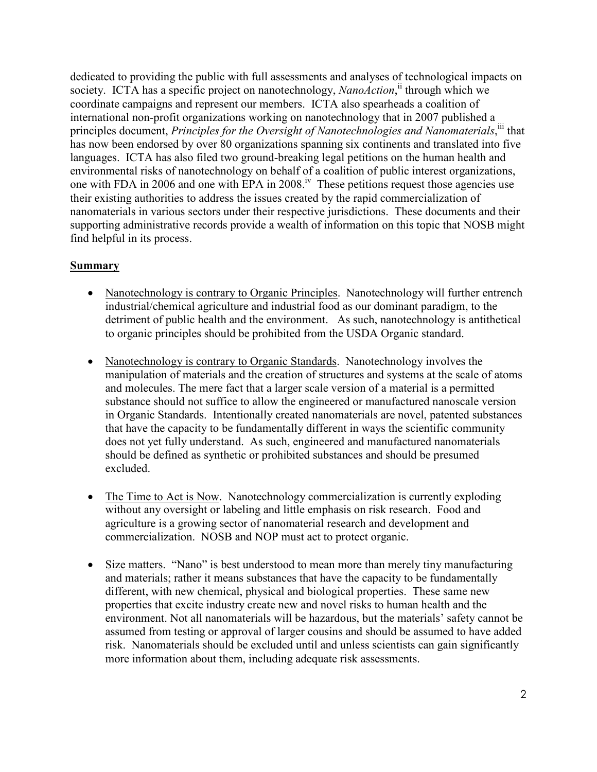dedicated to providing the public with full assessments and analyses of technological impacts on society. ICTA has a specific project on nanotechnology, *NanoAction*,<sup>ii</sup> through which we coordinate campaigns and represent our members. ICTA also spearheads a coalition of international non-profit organizations working on nanotechnology that in 2007 published a principles document, *Principles for the Oversight of Nanotechnologies and Nanomaterials*, ii that has now been endorsed by over 80 organizations spanning six continents and translated into five languages. ICTA has also filed two ground-breaking legal petitions on the human health and environmental risks of nanotechnology on behalf of a coalition of public interest organizations, one with FDA in 2006 and one with EPA in 2008.<sup>iv</sup> These petitions request those agencies use their existing authorities to address the issues created by the rapid commercialization of nanomaterials in various sectors under their respective jurisdictions. These documents and their supporting administrative records provide a wealth of information on this topic that NOSB might find helpful in its process.

### **Summary**

- Nanotechnology is contrary to Organic Principles. Nanotechnology will further entrench industrial/chemical agriculture and industrial food as our dominant paradigm, to the detriment of public health and the environment. As such, nanotechnology is antithetical to organic principles should be prohibited from the USDA Organic standard.
- Nanotechnology is contrary to Organic Standards. Nanotechnology involves the manipulation of materials and the creation of structures and systems at the scale of atoms and molecules. The mere fact that a larger scale version of a material is a permitted substance should not suffice to allow the engineered or manufactured nanoscale version in Organic Standards. Intentionally created nanomaterials are novel, patented substances that have the capacity to be fundamentally different in ways the scientific community does not yet fully understand. As such, engineered and manufactured nanomaterials should be defined as synthetic or prohibited substances and should be presumed excluded.
- The Time to Act is Now. Nanotechnology commercialization is currently exploding without any oversight or labeling and little emphasis on risk research. Food and agriculture is a growing sector of nanomaterial research and development and commercialization. NOSB and NOP must act to protect organic.
- Size matters. "Nano" is best understood to mean more than merely tiny manufacturing and materials; rather it means substances that have the capacity to be fundamentally different, with new chemical, physical and biological properties. These same new properties that excite industry create new and novel risks to human health and the environment. Not all nanomaterials will be hazardous, but the materials' safety cannot be assumed from testing or approval of larger cousins and should be assumed to have added risk. Nanomaterials should be excluded until and unless scientists can gain significantly more information about them, including adequate risk assessments.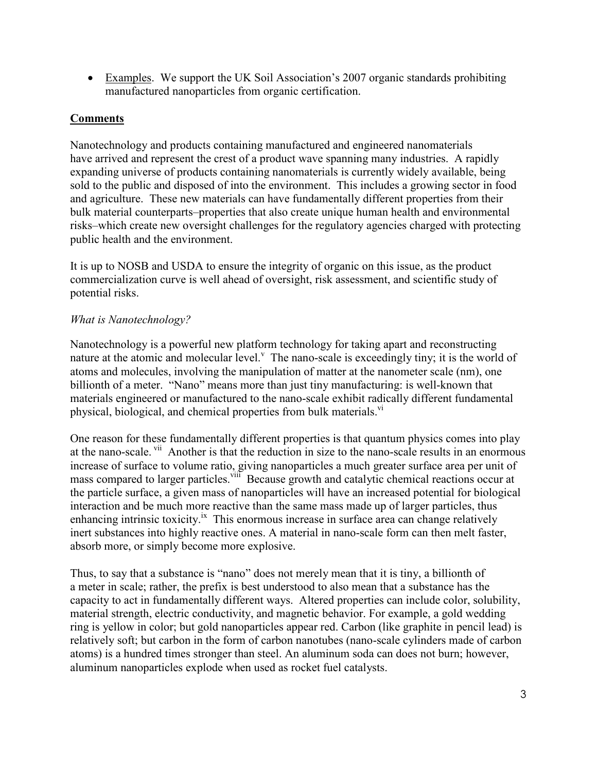• Examples. We support the UK Soil Association's 2007 organic standards prohibiting manufactured nanoparticles from organic certification.

# **Comments**

Nanotechnology and products containing manufactured and engineered nanomaterials have arrived and represent the crest of a product wave spanning many industries. A rapidly expanding universe of products containing nanomaterials is currently widely available, being sold to the public and disposed of into the environment. This includes a growing sector in food and agriculture. These new materials can have fundamentally different properties from their bulk material counterparts–properties that also create unique human health and environmental risks–which create new oversight challenges for the regulatory agencies charged with protecting public health and the environment.

It is up to NOSB and USDA to ensure the integrity of organic on this issue, as the product commercialization curve is well ahead of oversight, risk assessment, and scientific study of potential risks.

# *What is Nanotechnology?*

Nanotechnology is a powerful new platform technology for taking apart and reconstructing nature at the atomic and molecular level.<sup>V</sup> The nano-scale is exceedingly tiny; it is the world of atoms and molecules, involving the manipulation of matter at the nanometer scale (nm), one billionth of a meter. "Nano" means more than just tiny manufacturing: is well-known that materials engineered or manufactured to the nano-scale exhibit radically different fundamental physical, biological, and chemical properties from bulk materials.<sup>vi</sup>

One reason for these fundamentally different properties is that quantum physics comes into play at the nano-scale. vii Another is that the reduction in size to the nano-scale results in an enormous increase of surface to volume ratio, giving nanoparticles a much greater surface area per unit of mass compared to larger particles. Vill Because growth and catalytic chemical reactions occur at the particle surface, a given mass of nanoparticles will have an increased potential for biological interaction and be much more reactive than the same mass made up of larger particles, thus enhancing intrinsic toxicity.<sup>ix</sup> This enormous increase in surface area can change relatively inert substances into highly reactive ones. A material in nano-scale form can then melt faster, absorb more, or simply become more explosive.

Thus, to say that a substance is "nano" does not merely mean that it is tiny, a billionth of a meter in scale; rather, the prefix is best understood to also mean that a substance has the capacity to act in fundamentally different ways. Altered properties can include color, solubility, material strength, electric conductivity, and magnetic behavior. For example, a gold wedding ring is yellow in color; but gold nanoparticles appear red. Carbon (like graphite in pencil lead) is relatively soft; but carbon in the form of carbon nanotubes (nano-scale cylinders made of carbon atoms) is a hundred times stronger than steel. An aluminum soda can does not burn; however, aluminum nanoparticles explode when used as rocket fuel catalysts.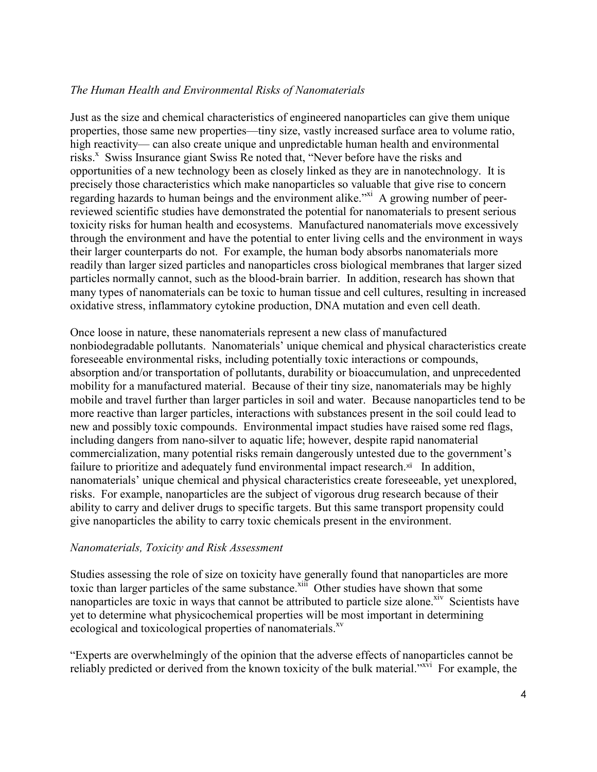### *The Human Health and Environmental Risks of Nanomaterials*

Just as the size and chemical characteristics of engineered nanoparticles can give them unique properties, those same new properties—tiny size, vastly increased surface area to volume ratio, high reactivity— can also create unique and unpredictable human health and environmental risks.<sup>x</sup> Swiss Insurance giant Swiss Re noted that, "Never before have the risks and opportunities of a new technology been as closely linked as they are in nanotechnology. It is precisely those characteristics which make nanoparticles so valuable that give rise to concern regarding hazards to human beings and the environment alike.<sup>"xi</sup> A growing number of peerreviewed scientific studies have demonstrated the potential for nanomaterials to present serious toxicity risks for human health and ecosystems. Manufactured nanomaterials move excessively through the environment and have the potential to enter living cells and the environment in ways their larger counterparts do not. For example, the human body absorbs nanomaterials more readily than larger sized particles and nanoparticles cross biological membranes that larger sized particles normally cannot, such as the blood-brain barrier. In addition, research has shown that many types of nanomaterials can be toxic to human tissue and cell cultures, resulting in increased oxidative stress, inflammatory cytokine production, DNA mutation and even cell death.

Once loose in nature, these nanomaterials represent a new class of manufactured nonbiodegradable pollutants. Nanomaterials' unique chemical and physical characteristics create foreseeable environmental risks, including potentially toxic interactions or compounds, absorption and/or transportation of pollutants, durability or bioaccumulation, and unprecedented mobility for a manufactured material. Because of their tiny size, nanomaterials may be highly mobile and travel further than larger particles in soil and water. Because nanoparticles tend to be more reactive than larger particles, interactions with substances present in the soil could lead to new and possibly toxic compounds. Environmental impact studies have raised some red flags, including dangers from nano-silver to aquatic life; however, despite rapid nanomaterial commercialization, many potential risks remain dangerously untested due to the government's failure to prioritize and adequately fund environmental impact research. $xii$  In addition, nanomaterials' unique chemical and physical characteristics create foreseeable, yet unexplored, risks. For example, nanoparticles are the subject of vigorous drug research because of their ability to carry and deliver drugs to specific targets. But this same transport propensity could give nanoparticles the ability to carry toxic chemicals present in the environment.

#### *Nanomaterials, Toxicity and Risk Assessment*

Studies assessing the role of size on toxicity have generally found that nanoparticles are more toxic than larger particles of the same substance.<sup>xiii</sup> Other studies have shown that some nanoparticles are toxic in ways that cannot be attributed to particle size alone.<sup>xiv</sup> Scientists have yet to determine what physicochemical properties will be most important in determining ecological and toxicological properties of nanomaterials.<sup>xv</sup>

"Experts are overwhelmingly of the opinion that the adverse effects of nanoparticles cannot be reliably predicted or derived from the known toxicity of the bulk material."<sup>xvi</sup> For example, the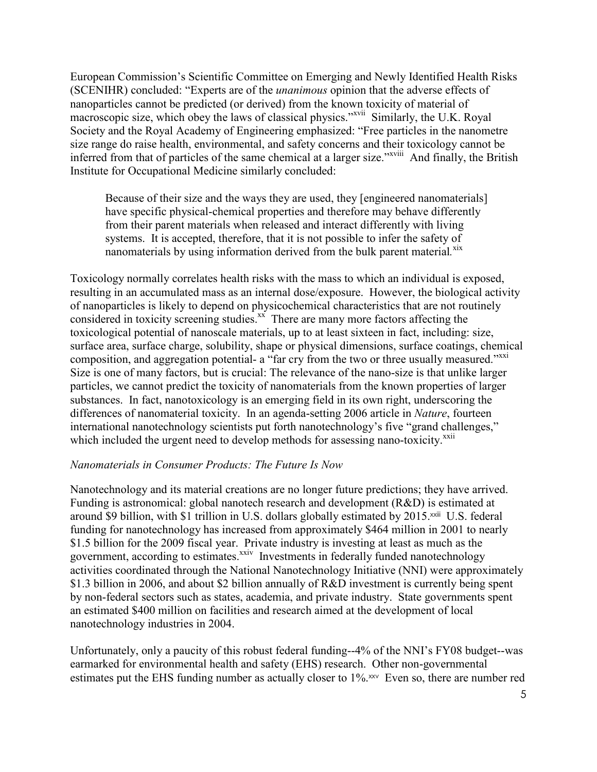European Commission's Scientific Committee on Emerging and Newly Identified Health Risks (SCENIHR) concluded: "Experts are of the *unanimous* opinion that the adverse effects of nanoparticles cannot be predicted (or derived) from the known toxicity of material of macroscopic size, which obey the laws of classical physics."<sup>xvii</sup> Similarly, the U.K. Royal Society and the Royal Academy of Engineering emphasized: "Free particles in the nanometre size range do raise health, environmental, and safety concerns and their toxicology cannot be inferred from that of particles of the same chemical at a larger size."<sup>xviii</sup> And finally, the British Institute for Occupational Medicine similarly concluded:

Because of their size and the ways they are used, they [engineered nanomaterials] have specific physical-chemical properties and therefore may behave differently from their parent materials when released and interact differently with living systems. It is accepted, therefore, that it is not possible to infer the safety of nanomaterials by using information derived from the bulk parent material.<sup>xix</sup>

Toxicology normally correlates health risks with the mass to which an individual is exposed, resulting in an accumulated mass as an internal dose/exposure. However, the biological activity of nanoparticles is likely to depend on physicochemical characteristics that are not routinely considered in toxicity screening studies. $\frac{xx}{x}$  There are many more factors affecting the toxicological potential of nanoscale materials, up to at least sixteen in fact, including: size, surface area, surface charge, solubility, shape or physical dimensions, surface coatings, chemical composition, and aggregation potential- a "far cry from the two or three usually measured."<sup>xxi</sup> Size is one of many factors, but is crucial: The relevance of the nano-size is that unlike larger particles, we cannot predict the toxicity of nanomaterials from the known properties of larger substances. In fact, nanotoxicology is an emerging field in its own right, underscoring the differences of nanomaterial toxicity. In an agenda-setting 2006 article in *Nature*, fourteen international nanotechnology scientists put forth nanotechnology's five "grand challenges," which included the urgent need to develop methods for assessing nano-toxicity.<sup>xxii</sup>

#### *Nanomaterials in Consumer Products: The Future Is Now*

Nanotechnology and its material creations are no longer future predictions; they have arrived. Funding is astronomical: global nanotech research and development (R&D) is estimated at around \$9 billion, with \$1 trillion in U.S. dollars globally estimated by 2015.<sup>xxiii</sup> U.S. federal funding for nanotechnology has increased from approximately \$464 million in 2001 to nearly \$1.5 billion for the 2009 fiscal year. Private industry is investing at least as much as the government, according to estimates.<sup>xxiv</sup> Investments in federally funded nanotechnology activities coordinated through the National Nanotechnology Initiative (NNI) were approximately \$1.3 billion in 2006, and about \$2 billion annually of R&D investment is currently being spent by non-federal sectors such as states, academia, and private industry. State governments spent an estimated \$400 million on facilities and research aimed at the development of local nanotechnology industries in 2004.

Unfortunately, only a paucity of this robust federal funding--4% of the NNI's FY08 budget--was earmarked for environmental health and safety (EHS) research. Other non-governmental estimates put the EHS funding number as actually closer to 1%.<sup>xxv</sup> Even so, there are number red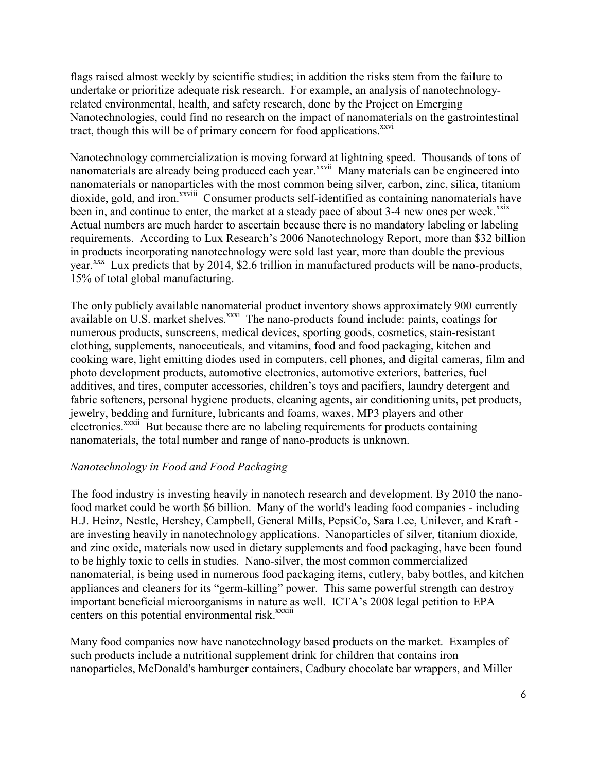flags raised almost weekly by scientific studies; in addition the risks stem from the failure to undertake or prioritize adequate risk research. For example, an analysis of nanotechnologyrelated environmental, health, and safety research, done by the Project on Emerging Nanotechnologies, could find no research on the impact of nanomaterials on the gastrointestinal tract, though this will be of primary concern for food applications.<sup>xxvi</sup>

Nanotechnology commercialization is moving forward at lightning speed. Thousands of tons of nanomaterials are already being produced each year.<sup>xxvii</sup> Many materials can be engineered into nanomaterials or nanoparticles with the most common being silver, carbon, zinc, silica, titanium dioxide, gold, and iron.<sup>xxviii</sup> Consumer products self-identified as containing nanomaterials have been in, and continue to enter, the market at a steady pace of about 3-4 new ones per week.<sup>xxix</sup> Actual numbers are much harder to ascertain because there is no mandatory labeling or labeling requirements. According to Lux Research's 2006 Nanotechnology Report, more than \$32 billion in products incorporating nanotechnology were sold last year, more than double the previous year. $\frac{x}{x}$  Lux predicts that by 2014, \$2.6 trillion in manufactured products will be nano-products, 15% of total global manufacturing.

The only publicly available nanomaterial product inventory shows approximately 900 currently available on U.S. market shelves.<sup>xxxi</sup> The nano-products found include: paints, coatings for numerous products, sunscreens, medical devices, sporting goods, cosmetics, stain-resistant clothing, supplements, nanoceuticals, and vitamins, food and food packaging, kitchen and cooking ware, light emitting diodes used in computers, cell phones, and digital cameras, film and photo development products, automotive electronics, automotive exteriors, batteries, fuel additives, and tires, computer accessories, children's toys and pacifiers, laundry detergent and fabric softeners, personal hygiene products, cleaning agents, air conditioning units, pet products, jewelry, bedding and furniture, lubricants and foams, waxes, MP3 players and other electronics.<sup>xxxii</sup> But because there are no labeling requirements for products containing nanomaterials, the total number and range of nano-products is unknown.

### *Nanotechnology in Food and Food Packaging*

The food industry is investing heavily in nanotech research and development. By 2010 the nanofood market could be worth \$6 billion. Many of the world's leading food companies - including H.J. Heinz, Nestle, Hershey, Campbell, General Mills, PepsiCo, Sara Lee, Unilever, and Kraft are investing heavily in nanotechnology applications. Nanoparticles of silver, titanium dioxide, and zinc oxide, materials now used in dietary supplements and food packaging, have been found to be highly toxic to cells in studies. Nano-silver, the most common commercialized nanomaterial, is being used in numerous food packaging items, cutlery, baby bottles, and kitchen appliances and cleaners for its "germ-killing" power. This same powerful strength can destroy important beneficial microorganisms in nature as well. ICTA's 2008 legal petition to EPA centers on this potential environmental risk.<sup>xxxiii</sup>

Many food companies now have nanotechnology based products on the market. Examples of such products include a nutritional supplement drink for children that contains iron nanoparticles, McDonald's hamburger containers, Cadbury chocolate bar wrappers, and Miller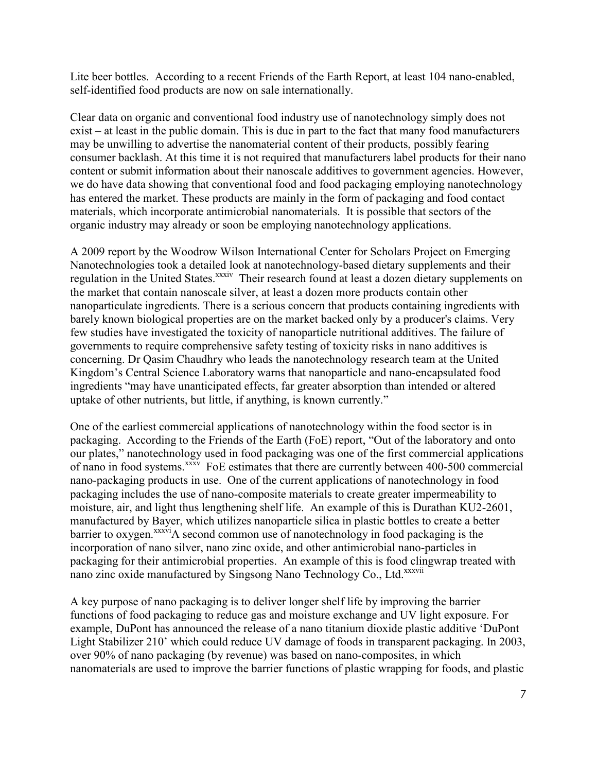Lite beer bottles. According to a recent Friends of the Earth Report, at least 104 nano-enabled, self-identified food products are now on sale internationally.

Clear data on organic and conventional food industry use of nanotechnology simply does not exist – at least in the public domain. This is due in part to the fact that many food manufacturers may be unwilling to advertise the nanomaterial content of their products, possibly fearing consumer backlash. At this time it is not required that manufacturers label products for their nano content or submit information about their nanoscale additives to government agencies. However, we do have data showing that conventional food and food packaging employing nanotechnology has entered the market. These products are mainly in the form of packaging and food contact materials, which incorporate antimicrobial nanomaterials. It is possible that sectors of the organic industry may already or soon be employing nanotechnology applications.

A 2009 report by the Woodrow Wilson International Center for Scholars Project on Emerging Nanotechnologies took a detailed look at nanotechnology-based dietary supplements and their regulation in the United States.<sup>xxxiv</sup> Their research found at least a dozen dietary supplements on the market that contain nanoscale silver, at least a dozen more products contain other nanoparticulate ingredients. There is a serious concern that products containing ingredients with barely known biological properties are on the market backed only by a producer's claims. Very few studies have investigated the toxicity of nanoparticle nutritional additives. The failure of governments to require comprehensive safety testing of toxicity risks in nano additives is concerning. Dr Qasim Chaudhry who leads the nanotechnology research team at the United Kingdom's Central Science Laboratory warns that nanoparticle and nano-encapsulated food ingredients "may have unanticipated effects, far greater absorption than intended or altered uptake of other nutrients, but little, if anything, is known currently."

One of the earliest commercial applications of nanotechnology within the food sector is in packaging. According to the Friends of the Earth (FoE) report, "Out of the laboratory and onto our plates," nanotechnology used in food packaging was one of the first commercial applications of nano in food systems.<sup>xxxv</sup> FoE estimates that there are currently between 400-500 commercial nano-packaging products in use. One of the current applications of nanotechnology in food packaging includes the use of nano-composite materials to create greater impermeability to moisture, air, and light thus lengthening shelf life. An example of this is Durathan KU2-2601, manufactured by Bayer, which utilizes nanoparticle silica in plastic bottles to create a better barrier to oxygen.<sup>xxxvi</sup>A second common use of nanotechnology in food packaging is the incorporation of nano silver, nano zinc oxide, and other antimicrobial nano-particles in packaging for their antimicrobial properties. An example of this is food clingwrap treated with nano zinc oxide manufactured by Singsong Nano Technology Co., Ltd.<sup>xxxvii</sup>

A key purpose of nano packaging is to deliver longer shelf life by improving the barrier functions of food packaging to reduce gas and moisture exchange and UV light exposure. For example, DuPont has announced the release of a nano titanium dioxide plastic additive 'DuPont Light Stabilizer 210' which could reduce UV damage of foods in transparent packaging. In 2003, over 90% of nano packaging (by revenue) was based on nano-composites, in which nanomaterials are used to improve the barrier functions of plastic wrapping for foods, and plastic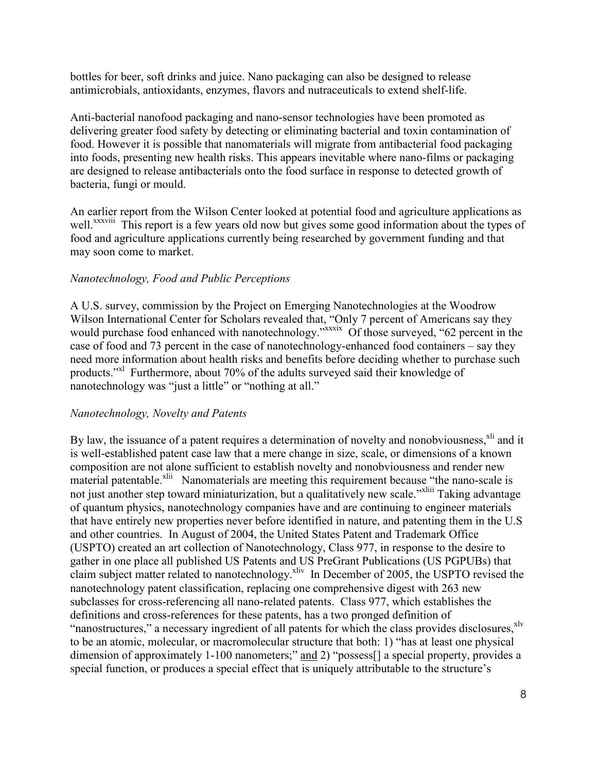bottles for beer, soft drinks and juice. Nano packaging can also be designed to release antimicrobials, antioxidants, enzymes, flavors and nutraceuticals to extend shelf-life.

Anti-bacterial nanofood packaging and nano-sensor technologies have been promoted as delivering greater food safety by detecting or eliminating bacterial and toxin contamination of food. However it is possible that nanomaterials will migrate from antibacterial food packaging into foods, presenting new health risks. This appears inevitable where nano-films or packaging are designed to release antibacterials onto the food surface in response to detected growth of bacteria, fungi or mould.

An earlier report from the Wilson Center looked at potential food and agriculture applications as well.<sup>xxxviii</sup> This report is a few years old now but gives some good information about the types of food and agriculture applications currently being researched by government funding and that may soon come to market.

## *Nanotechnology, Food and Public Perceptions*

A U.S. survey, commission by the Project on Emerging Nanotechnologies at the Woodrow Wilson International Center for Scholars revealed that, "Only 7 percent of Americans say they would purchase food enhanced with nanotechnology."<sup>xxxix</sup> Of those surveyed, "62 percent in the case of food and 73 percent in the case of nanotechnology-enhanced food containers – say they need more information about health risks and benefits before deciding whether to purchase such products."<sup>xl</sup> Furthermore, about 70% of the adults surveyed said their knowledge of nanotechnology was "just a little" or "nothing at all."

# *Nanotechnology, Novelty and Patents*

By law, the issuance of a patent requires a determination of novelty and nonobviousness,<sup>xli</sup> and it is well-established patent case law that a mere change in size, scale, or dimensions of a known composition are not alone sufficient to establish novelty and nonobviousness and render new material patentable.<sup>xlii</sup> Nanomaterials are meeting this requirement because "the nano-scale is not just another step toward miniaturization, but a qualitatively new scale."<sup>xliii</sup> Taking advantage of quantum physics, nanotechnology companies have and are continuing to engineer materials that have entirely new properties never before identified in nature, and patenting them in the U.S and other countries. In August of 2004, the United States Patent and Trademark Office (USPTO) created an art collection of Nanotechnology, Class 977, in response to the desire to gather in one place all published US Patents and US PreGrant Publications (US PGPUBs) that claim subject matter related to nanotechnology.<sup>xliv</sup> In December of 2005, the USPTO revised the nanotechnology patent classification, replacing one comprehensive digest with 263 new subclasses for cross-referencing all nano-related patents. Class 977, which establishes the definitions and cross-references for these patents, has a two pronged definition of "nanostructures," a necessary ingredient of all patents for which the class provides disclosures. Xlv to be an atomic, molecular, or macromolecular structure that both: 1) "has at least one physical dimension of approximately 1-100 nanometers;" and 2) "possess[] a special property, provides a special function, or produces a special effect that is uniquely attributable to the structure's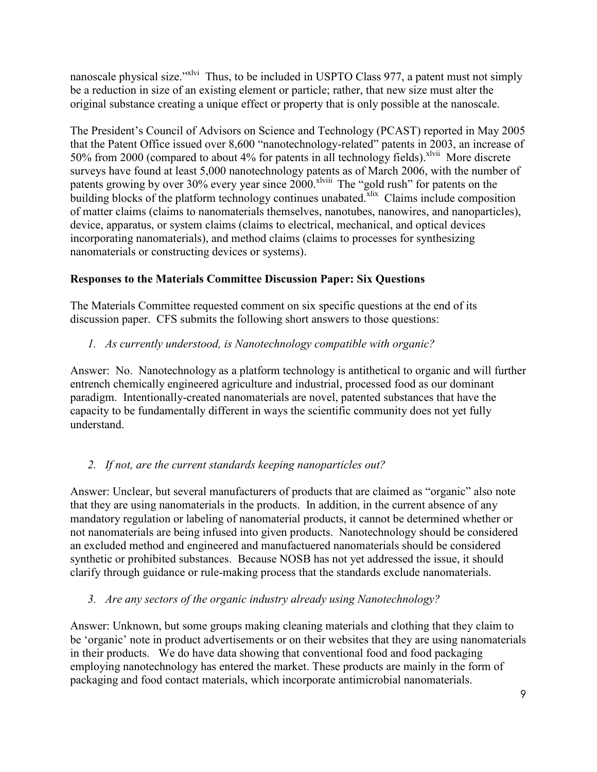nanoscale physical size."<sup>Xlvi</sup> Thus, to be included in USPTO Class 977, a patent must not simply be a reduction in size of an existing element or particle; rather, that new size must alter the original substance creating a unique effect or property that is only possible at the nanoscale.

The President's Council of Advisors on Science and Technology (PCAST) reported in May 2005 that the Patent Office issued over 8,600 "nanotechnology-related" patents in 2003, an increase of 50% from 2000 (compared to about 4% for patents in all technology fields).<sup>xlvii</sup> More discrete surveys have found at least 5,000 nanotechnology patents as of March 2006, with the number of patents growing by over 30% every year since 2000.<sup>xlviii</sup> The "gold rush" for patents on the building blocks of the platform technology continues unabated.<sup>xlix</sup> Claims include composition of matter claims (claims to nanomaterials themselves, nanotubes, nanowires, and nanoparticles), device, apparatus, or system claims (claims to electrical, mechanical, and optical devices incorporating nanomaterials), and method claims (claims to processes for synthesizing nanomaterials or constructing devices or systems).

# **Responses to the Materials Committee Discussion Paper: Six Questions**

The Materials Committee requested comment on six specific questions at the end of its discussion paper. CFS submits the following short answers to those questions:

# *1. As currently understood, is Nanotechnology compatible with organic?*

Answer: No. Nanotechnology as a platform technology is antithetical to organic and will further entrench chemically engineered agriculture and industrial, processed food as our dominant paradigm. Intentionally-created nanomaterials are novel, patented substances that have the capacity to be fundamentally different in ways the scientific community does not yet fully understand.

# *2. If not, are the current standards keeping nanoparticles out?*

Answer: Unclear, but several manufacturers of products that are claimed as "organic" also note that they are using nanomaterials in the products. In addition, in the current absence of any mandatory regulation or labeling of nanomaterial products, it cannot be determined whether or not nanomaterials are being infused into given products. Nanotechnology should be considered an excluded method and engineered and manufactuered nanomaterials should be considered synthetic or prohibited substances. Because NOSB has not yet addressed the issue, it should clarify through guidance or rule-making process that the standards exclude nanomaterials.

# *3. Are any sectors of the organic industry already using Nanotechnology?*

Answer: Unknown, but some groups making cleaning materials and clothing that they claim to be 'organic' note in product advertisements or on their websites that they are using nanomaterials in their products. We do have data showing that conventional food and food packaging employing nanotechnology has entered the market. These products are mainly in the form of packaging and food contact materials, which incorporate antimicrobial nanomaterials.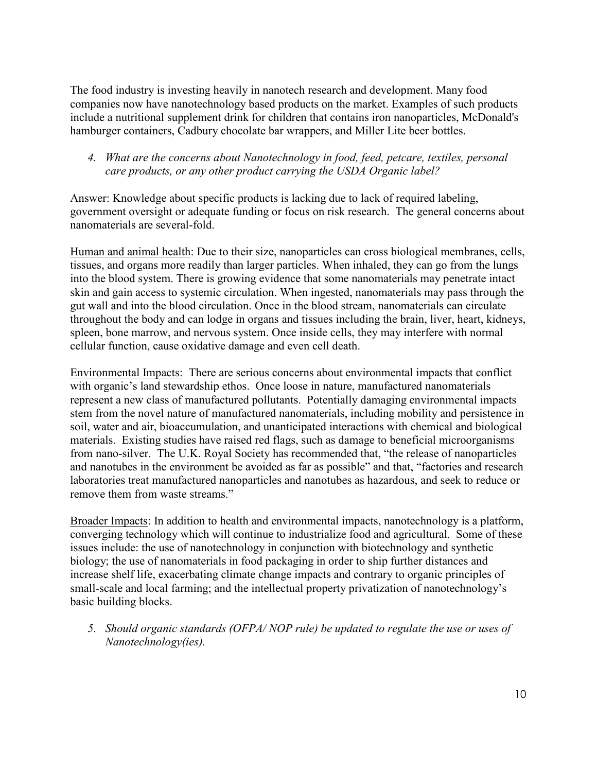The food industry is investing heavily in nanotech research and development. Many food companies now have nanotechnology based products on the market. Examples of such products include a nutritional supplement drink for children that contains iron nanoparticles, McDonald's hamburger containers, Cadbury chocolate bar wrappers, and Miller Lite beer bottles.

### *4. What are the concerns about Nanotechnology in food, feed, petcare, textiles, personal care products, or any other product carrying the USDA Organic label?*

Answer: Knowledge about specific products is lacking due to lack of required labeling, government oversight or adequate funding or focus on risk research. The general concerns about nanomaterials are several-fold.

Human and animal health: Due to their size, nanoparticles can cross biological membranes, cells, tissues, and organs more readily than larger particles. When inhaled, they can go from the lungs into the blood system. There is growing evidence that some nanomaterials may penetrate intact skin and gain access to systemic circulation. When ingested, nanomaterials may pass through the gut wall and into the blood circulation. Once in the blood stream, nanomaterials can circulate throughout the body and can lodge in organs and tissues including the brain, liver, heart, kidneys, spleen, bone marrow, and nervous system. Once inside cells, they may interfere with normal cellular function, cause oxidative damage and even cell death.

Environmental Impacts: There are serious concerns about environmental impacts that conflict with organic's land stewardship ethos. Once loose in nature, manufactured nanomaterials represent a new class of manufactured pollutants. Potentially damaging environmental impacts stem from the novel nature of manufactured nanomaterials, including mobility and persistence in soil, water and air, bioaccumulation, and unanticipated interactions with chemical and biological materials. Existing studies have raised red flags, such as damage to beneficial microorganisms from nano-silver. The U.K. Royal Society has recommended that, "the release of nanoparticles and nanotubes in the environment be avoided as far as possible" and that, "factories and research laboratories treat manufactured nanoparticles and nanotubes as hazardous, and seek to reduce or remove them from waste streams."

Broader Impacts: In addition to health and environmental impacts, nanotechnology is a platform, converging technology which will continue to industrialize food and agricultural. Some of these issues include: the use of nanotechnology in conjunction with biotechnology and synthetic biology; the use of nanomaterials in food packaging in order to ship further distances and increase shelf life, exacerbating climate change impacts and contrary to organic principles of small-scale and local farming; and the intellectual property privatization of nanotechnology's basic building blocks.

*5. Should organic standards (OFPA/ NOP rule) be updated to regulate the use or uses of Nanotechnology(ies).*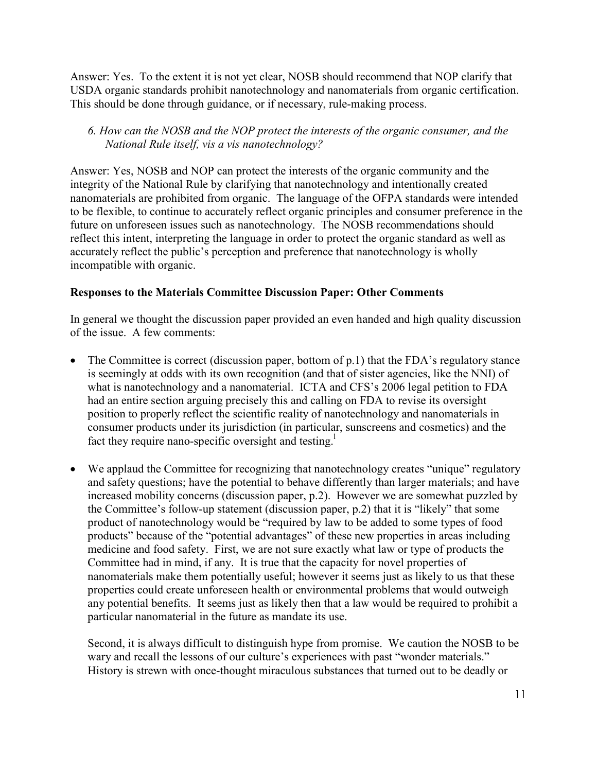Answer: Yes. To the extent it is not yet clear, NOSB should recommend that NOP clarify that USDA organic standards prohibit nanotechnology and nanomaterials from organic certification. This should be done through guidance, or if necessary, rule-making process.

### *6. How can the NOSB and the NOP protect the interests of the organic consumer, and the National Rule itself, vis a vis nanotechnology?*

Answer: Yes, NOSB and NOP can protect the interests of the organic community and the integrity of the National Rule by clarifying that nanotechnology and intentionally created nanomaterials are prohibited from organic. The language of the OFPA standards were intended to be flexible, to continue to accurately reflect organic principles and consumer preference in the future on unforeseen issues such as nanotechnology. The NOSB recommendations should reflect this intent, interpreting the language in order to protect the organic standard as well as accurately reflect the public's perception and preference that nanotechnology is wholly incompatible with organic.

## **Responses to the Materials Committee Discussion Paper: Other Comments**

In general we thought the discussion paper provided an even handed and high quality discussion of the issue. A few comments:

- The Committee is correct (discussion paper, bottom of p.1) that the FDA's regulatory stance is seemingly at odds with its own recognition (and that of sister agencies, like the NNI) of what is nanotechnology and a nanomaterial. ICTA and CFS's 2006 legal petition to FDA had an entire section arguing precisely this and calling on FDA to revise its oversight position to properly reflect the scientific reality of nanotechnology and nanomaterials in consumer products under its jurisdiction (in particular, sunscreens and cosmetics) and the fact they require nano-specific oversight and testing.<sup>1</sup>
- We applaud the Committee for recognizing that nanotechnology creates "unique" regulatory and safety questions; have the potential to behave differently than larger materials; and have increased mobility concerns (discussion paper, p.2). However we are somewhat puzzled by the Committee's follow-up statement (discussion paper, p.2) that it is "likely" that some product of nanotechnology would be "required by law to be added to some types of food products" because of the "potential advantages" of these new properties in areas including medicine and food safety. First, we are not sure exactly what law or type of products the Committee had in mind, if any. It is true that the capacity for novel properties of nanomaterials make them potentially useful; however it seems just as likely to us that these properties could create unforeseen health or environmental problems that would outweigh any potential benefits. It seems just as likely then that a law would be required to prohibit a particular nanomaterial in the future as mandate its use.

Second, it is always difficult to distinguish hype from promise. We caution the NOSB to be wary and recall the lessons of our culture's experiences with past "wonder materials." History is strewn with once-thought miraculous substances that turned out to be deadly or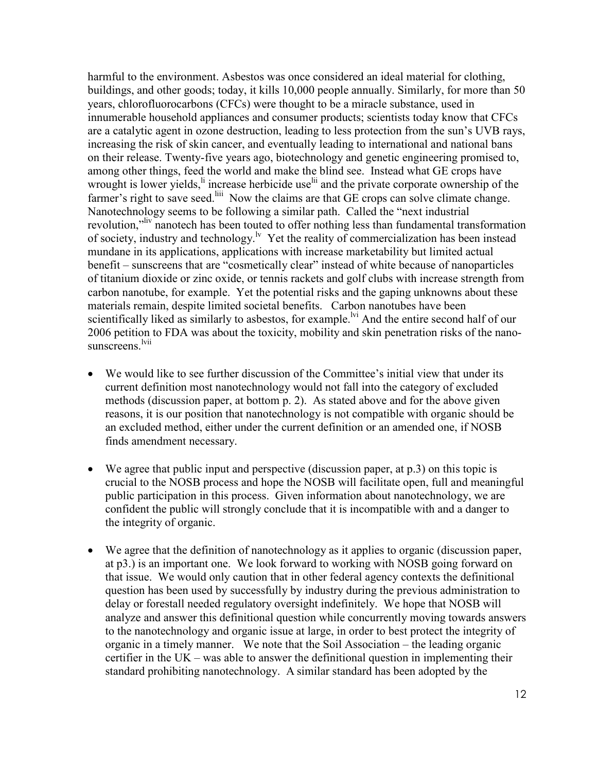harmful to the environment. Asbestos was once considered an ideal material for clothing, buildings, and other goods; today, it kills 10,000 people annually. Similarly, for more than 50 years, chlorofluorocarbons (CFCs) were thought to be a miracle substance, used in innumerable household appliances and consumer products; scientists today know that CFCs are a catalytic agent in ozone destruction, leading to less protection from the sun's UVB rays, increasing the risk of skin cancer, and eventually leading to international and national bans on their release. Twenty-five years ago, biotechnology and genetic engineering promised to, among other things, feed the world and make the blind see. Instead what GE crops have wrought is lower yields,<sup>li</sup> increase herbicide use<sup>lii</sup> and the private corporate ownership of the farmer's right to save seed.<sup>liii</sup> Now the claims are that GE crops can solve climate change. Nanotechnology seems to be following a similar path. Called the "next industrial revolution,"<sup>liv</sup> nanotech has been touted to offer nothing less than fundamental transformation of society, industry and technology.<sup> $\frac{1}{x}$ </sup> Yet the reality of commercialization has been instead mundane in its applications, applications with increase marketability but limited actual benefit – sunscreens that are "cosmetically clear" instead of white because of nanoparticles of titanium dioxide or zinc oxide, or tennis rackets and golf clubs with increase strength from carbon nanotube, for example. Yet the potential risks and the gaping unknowns about these materials remain, despite limited societal benefits. Carbon nanotubes have been scientifically liked as similarly to asbestos, for example.<sup>lvi</sup> And the entire second half of our 2006 petition to FDA was about the toxicity, mobility and skin penetration risks of the nanosunscreens<sup>lvii</sup>

- We would like to see further discussion of the Committee's initial view that under its current definition most nanotechnology would not fall into the category of excluded methods (discussion paper, at bottom p. 2). As stated above and for the above given reasons, it is our position that nanotechnology is not compatible with organic should be an excluded method, either under the current definition or an amended one, if NOSB finds amendment necessary.
- We agree that public input and perspective (discussion paper, at p.3) on this topic is crucial to the NOSB process and hope the NOSB will facilitate open, full and meaningful public participation in this process. Given information about nanotechnology, we are confident the public will strongly conclude that it is incompatible with and a danger to the integrity of organic.
- We agree that the definition of nanotechnology as it applies to organic (discussion paper, at p3.) is an important one. We look forward to working with NOSB going forward on that issue. We would only caution that in other federal agency contexts the definitional question has been used by successfully by industry during the previous administration to delay or forestall needed regulatory oversight indefinitely. We hope that NOSB will analyze and answer this definitional question while concurrently moving towards answers to the nanotechnology and organic issue at large, in order to best protect the integrity of organic in a timely manner. We note that the Soil Association – the leading organic certifier in the UK – was able to answer the definitional question in implementing their standard prohibiting nanotechnology. A similar standard has been adopted by the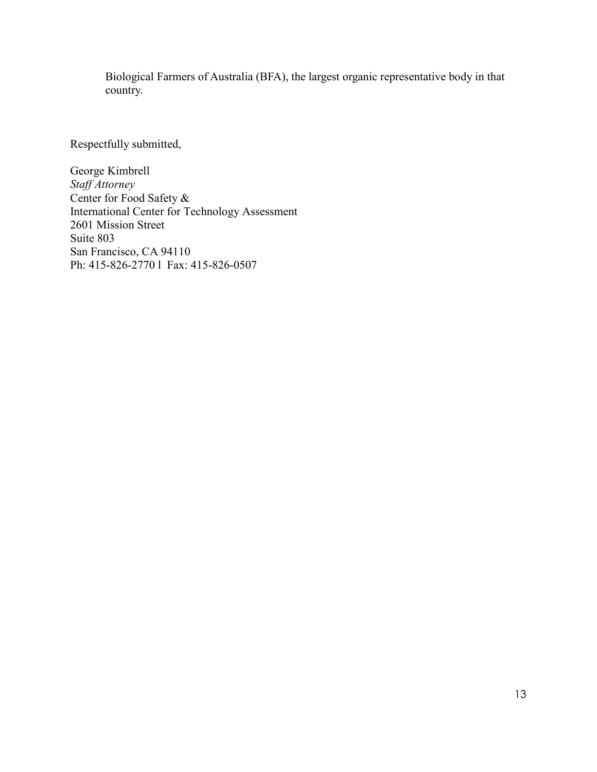Biological Farmers of Australia (BFA), the largest organic representative body in that country.

Respectfully submitted,

George Kimbrell *Staff Attorney*  Center for Food Safety & International Center for Technology Assessment 2601 Mission Street Suite 803 San Francisco, CA 94110 Ph: 415-826-2770 l Fax: 415-826-0507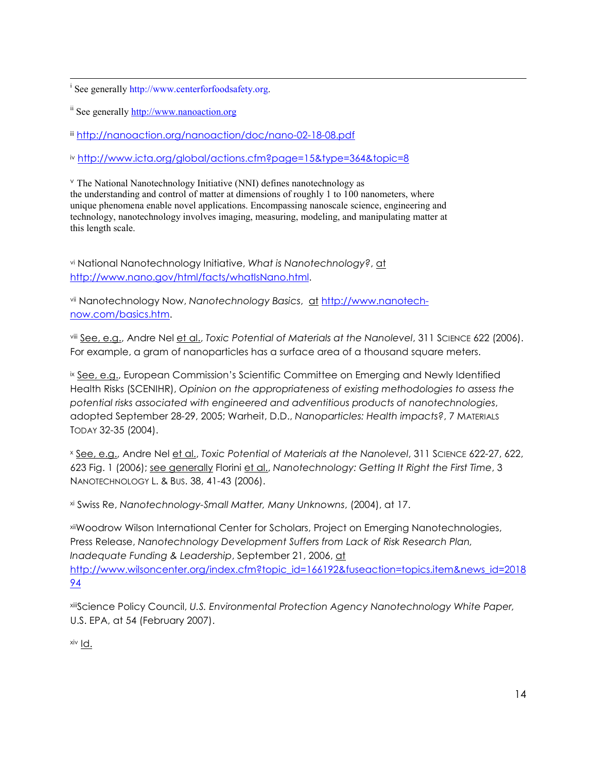$\overline{a}$ <sup>i</sup> See generally http://www.centerforfoodsafety.org.

ii See generally http://www.nanoaction.org

iii http://nanoaction.org/nanoaction/doc/nano-02-18-08.pdf

iv http://www.icta.org/global/actions.cfm?page=15&type=364&topic=8

<sup>v</sup> The National Nanotechnology Initiative (NNI) defines nanotechnology as the understanding and control of matter at dimensions of roughly 1 to 100 nanometers, where unique phenomena enable novel applications. Encompassing nanoscale science, engineering and technology, nanotechnology involves imaging, measuring, modeling, and manipulating matter at this length scale.

vi National Nanotechnology Initiative, *What is Nanotechnology?*, at http://www.nano.gov/html/facts/whatIsNano.html.

vii Nanotechnology Now, *Nanotechnology Basics*, at http://www.nanotechnow.com/basics.htm.

viii See, e.g., Andre Nel et al., *Toxic Potential of Materials at the Nanolevel*, 311 SCIENCE 622 (2006). For example, a gram of nanoparticles has a surface area of a thousand square meters.

ix See, e.g., European Commission's Scientific Committee on Emerging and Newly Identified Health Risks (SCENIHR), *Opinion on the appropriateness of existing methodologies to assess the potential risks associated with engineered and adventitious products of nanotechnologies*, adopted September 28-29, 2005; Warheit, D.D., *Nanoparticles: Health impacts?*, 7 MATERIALS TODAY 32-35 (2004).

x See, e.g., Andre Nel et al., *Toxic Potential of Materials at the Nanolevel*, 311 SCIENCE 622-27, 622, 623 Fig. 1 (2006); see generally Florini et al., *Nanotechnology: Getting It Right the First Time*, 3 NANOTECHNOLOGY L. & BUS. 38, 41-43 (2006).

xi Swiss Re, *Nanotechnology-Small Matter, Many Unknowns*, (2004), at 17.

xiiWoodrow Wilson International Center for Scholars, Project on Emerging Nanotechnologies, Press Release, *Nanotechnology Development Suffers from Lack of Risk Research Plan, Inadequate Funding & Leadership*, September 21, 2006, at http://www.wilsoncenter.org/index.cfm?topic\_id=166192&fuseaction=topics.item&news\_id=2018 94

xiiiScience Policy Council, *U.S. Environmental Protection Agency Nanotechnology White Paper,*  U.S. EPA, at 54 (February 2007).

xiv Id.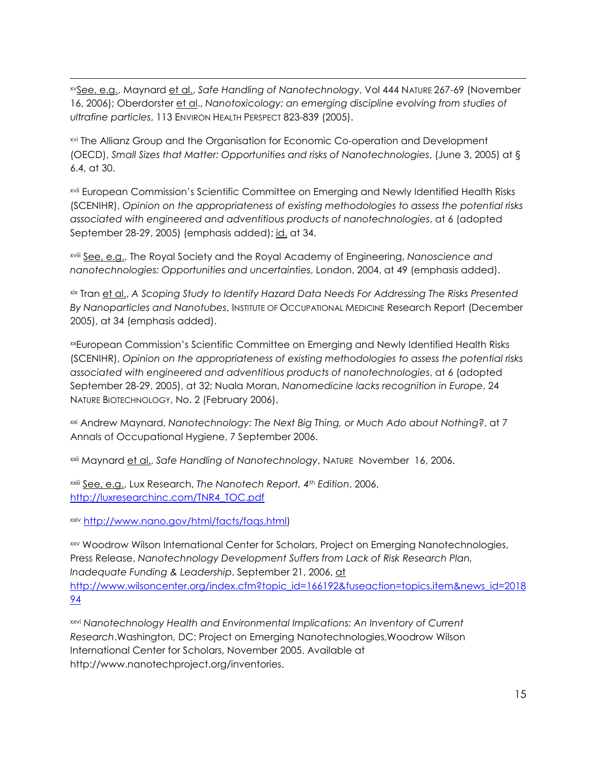xvSee, e.g., Maynard et al., *Safe Handling of Nanotechnology*, Vol 444 NATURE 267-69 (November 16, 2006); Oberdorster et al., *Nanotoxicology: an emerging discipline evolving from studies of ultrafine particles*, 113 ENVIRON HEALTH PERSPECT 823-839 (2005).

xvi The Allianz Group and the Organisation for Economic Co-operation and Development (OECD), *Small Sizes that Matter: Opportunities and risks of Nanotechnologies*, (June 3, 2005) at § 6.4, at 30.

xvii European Commission's Scientific Committee on Emerging and Newly Identified Health Risks (SCENIHR), *Opinion on the appropriateness of existing methodologies to assess the potential risks associated with engineered and adventitious products of nanotechnologies*, at 6 (adopted September 28-29, 2005) (emphasis added); id. at 34.

xviii See, e.g., The Royal Society and the Royal Academy of Engineering, *Nanoscience and nanotechnologies: Opportunities and uncertainties*, London, 2004, at 49 (emphasis added).

xix Tran et al., *A Scoping Study to Identify Hazard Data Needs For Addressing The Risks Presented By Nanoparticles and Nanotubes*, INSTITUTE OF OCCUPATIONAL MEDICINE Research Report (December 2005), at 34 (emphasis added).

xxEuropean Commission's Scientific Committee on Emerging and Newly Identified Health Risks (SCENIHR), *Opinion on the appropriateness of existing methodologies to assess the potential risks associated with engineered and adventitious products of nanotechnologies*, at 6 (adopted September 28-29, 2005), at 32; Nuala Moran, *Nanomedicine lacks recognition in Europe*, 24 NATURE BIOTECHNOLOGY, No. 2 (February 2006).

xxi Andrew Maynard, *Nanotechnology: The Next Big Thing, or Much Ado about Nothing?*, at 7 Annals of Occupational Hygiene, 7 September 2006.

xxii Maynard et al., *Safe Handling of Nanotechnology*, NATURE November 16, 2006.

xxiii See, e.g., Lux Research, *The Nanotech Report, 4th Edition*, 2006, http://luxresearchinc.com/TNR4\_TOC.pdf

xxiv http://www.nano.gov/html/facts/faqs.html)

xxv Woodrow Wilson International Center for Scholars, Project on Emerging Nanotechnologies, Press Release, *Nanotechnology Development Suffers from Lack of Risk Research Plan, Inadequate Funding & Leadership*, September 21, 2006, at http://www.wilsoncenter.org/index.cfm?topic\_id=166192&fuseaction=topics.item&news\_id=2018 94

xxvi *Nanotechnology Health and Environmental Implications: An Inventory of Current Research*.Washington, DC: Project on Emerging Nanotechnologies,Woodrow Wilson International Center for Scholars, November 2005. Available at http://www.nanotechproject.org/inventories.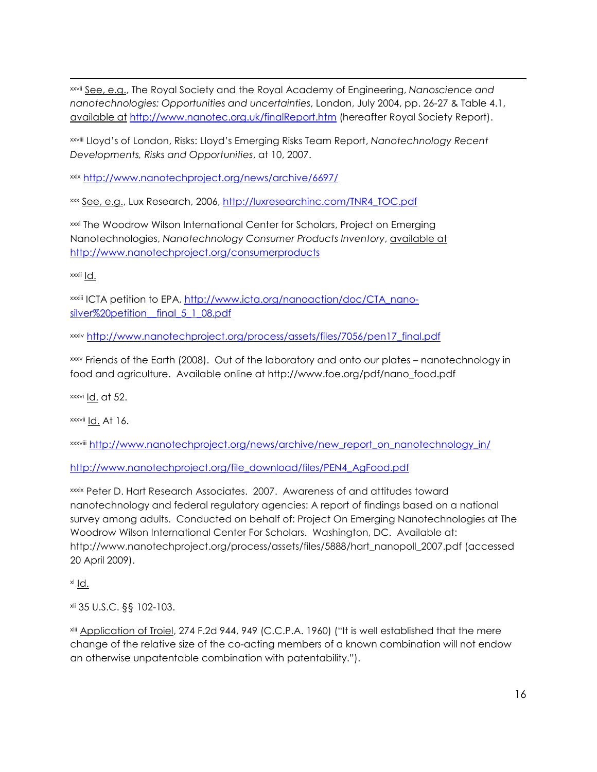xxvii See, e.g., The Royal Society and the Royal Academy of Engineering, *Nanoscience and nanotechnologies: Opportunities and uncertainties*, London, July 2004, pp. 26-27 & Table 4.1, available at http://www.nanotec.org.uk/finalReport.htm (hereafter Royal Society Report).

xxviii Lloyd's of London, Risks: Lloyd's Emerging Risks Team Report, *Nanotechnology Recent Developments, Risks and Opportunities*, at 10, 2007.

xxix http://www.nanotechproject.org/news/archive/6697/

xxx See, e.g., Lux Research, 2006, http://luxresearchinc.com/TNR4\_TOC.pdf

xxxi The Woodrow Wilson International Center for Scholars, Project on Emerging Nanotechnologies, *Nanotechnology Consumer Products Inventory*, available at http://www.nanotechproject.org/consumerproducts

xxxii Id.

xxxiii ICTA petition to EPA, http://www.icta.org/nanoaction/doc/CTA\_nanosilver%20petition final 5 1 08.pdf

xxxiv http://www.nanotechproject.org/process/assets/files/7056/pen17\_final.pdf

xxxv Friends of the Earth (2008). Out of the laboratory and onto our plates – nanotechnology in food and agriculture. Available online at http://www.foe.org/pdf/nano\_food.pdf

 $xxxi$  Id. at 52.

xxxvii Id. At 16.

xxxviii http://www.nanotechproject.org/news/archive/new\_report\_on\_nanotechnology\_in/

http://www.nanotechproject.org/file\_download/files/PEN4\_AgFood.pdf

xxxix Peter D. Hart Research Associates. 2007. Awareness of and attitudes toward nanotechnology and federal regulatory agencies: A report of findings based on a national survey among adults. Conducted on behalf of: Project On Emerging Nanotechnologies at The Woodrow Wilson International Center For Scholars. Washington, DC. Available at: http://www.nanotechproject.org/process/assets/files/5888/hart\_nanopoll\_2007.pdf (accessed 20 April 2009).

xl Id.

xli 35 U.S.C. §§ 102-103.

xlii Application of Troiel, 274 F.2d 944, 949 (C.C.P.A. 1960) ("It is well established that the mere change of the relative size of the co-acting members of a known combination will not endow an otherwise unpatentable combination with patentability.").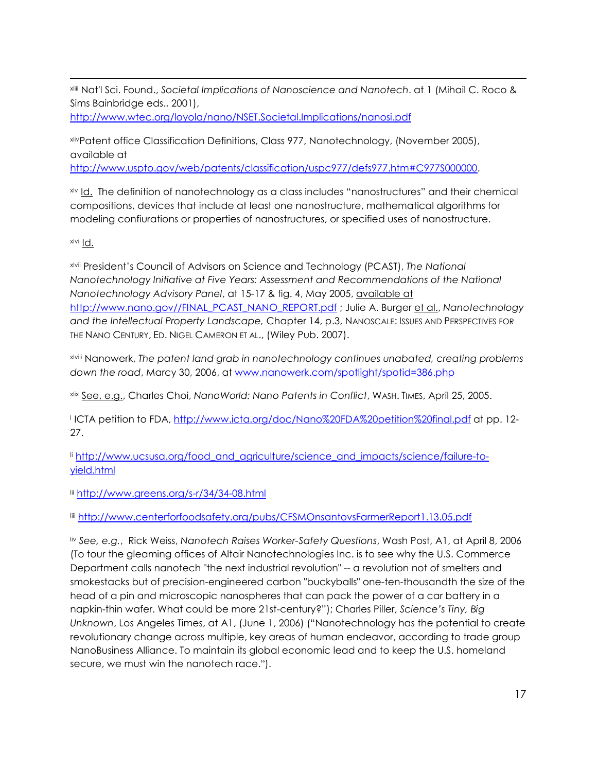xliii Nat'l Sci. Found., *Societal Implications of Nanoscience and Nanotech*. at 1 (Mihail C. Roco & Sims Bainbridge eds., 2001),

http://www.wtec.org/loyola/nano/NSET.Societal.Implications/nanosi.pdf

xlivPatent office Classification Definitions, Class 977, Nanotechnology, (November 2005), available at

http://www.uspto.gov/web/patents/classification/uspc977/defs977.htm#C977S000000.

x<sup>1</sup> Id. The definition of nanotechnology as a class includes "nanostructures" and their chemical compositions, devices that include at least one nanostructure, mathematical algorithms for modeling confiurations or properties of nanostructures, or specified uses of nanostructure.

xlvi Id.

xlvii President's Council of Advisors on Science and Technology (PCAST), *The National Nanotechnology Initiative at Five Years: Assessment and Recommendations of the National Nanotechnology Advisory Panel*, at 15-17 & fig. 4, May 2005, available at http://www.nano.gov//FINAL\_PCAST\_NANO\_REPORT.pdf ; Julie A. Burger et al., *Nanotechnology and the Intellectual Property Landscape,* Chapter 14, p.3, NANOSCALE: ISSUES AND PERSPECTIVES FOR THE NANO CENTURY, ED. NIGEL CAMERON ET AL., (Wiley Pub. 2007).

xlviii Nanowerk, *The patent land grab in nanotechnology continues unabated, creating problems down the road*, Marcy 30, 2006, at www.nanowerk.com/spotlight/spotid=386.php

xlix See, e.g., Charles Choi, *NanoWorld: Nano Patents in Conflict*, WASH. TIMES, April 25, 2005.

l ICTA petition to FDA, http://www.icta.org/doc/Nano%20FDA%20petition%20final.pdf at pp. 12- 27.

li http://www.ucsusa.org/food\_and\_agriculture/science\_and\_impacts/science/failure-toyield.html

lii http://www.greens.org/s-r/34/34-08.html

liii http://www.centerforfoodsafety.org/pubs/CFSMOnsantovsFarmerReport1.13.05.pdf

liv *See, e.g.*, Rick Weiss, *Nanotech Raises Worker-Safety Questions*, Wash Post, A1, at April 8, 2006 (To tour the gleaming offices of Altair Nanotechnologies Inc. is to see why the U.S. Commerce Department calls nanotech "the next industrial revolution" -- a revolution not of smelters and smokestacks but of precision-engineered carbon "buckyballs" one-ten-thousandth the size of the head of a pin and microscopic nanospheres that can pack the power of a car battery in a napkin-thin wafer. What could be more 21st-century?"); Charles Piller, *Science's Tiny, Big Unknown*, Los Angeles Times, at A1, (June 1, 2006) ("Nanotechnology has the potential to create revolutionary change across multiple, key areas of human endeavor, according to trade group NanoBusiness Alliance. To maintain its global economic lead and to keep the U.S. homeland secure, we must win the nanotech race.").